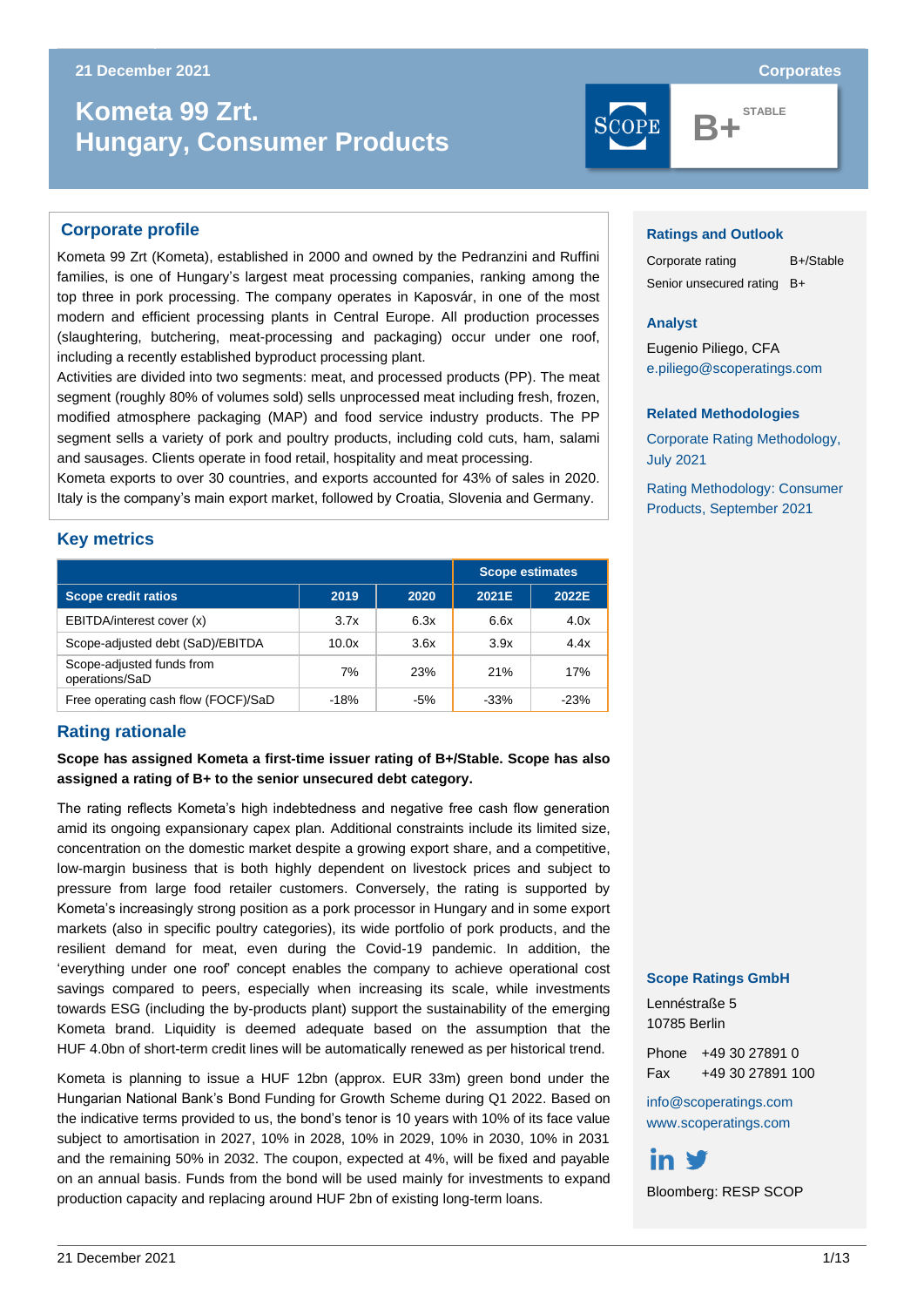## **Kometa 99 Zrt. 21 December 2021 Corporates**

# **Hungary, Consumer Products Kometa 99 Zrt. Hungary, Consumer Products**



**STABLE**

# **Corporate profile**

Kometa 99 Zrt (Kometa), established in 2000 and owned by the Pedranzini and Ruffini families, is one of Hungary's largest meat processing companies, ranking among the top three in pork processing. The company operates in Kaposvár, in one of the most modern and efficient processing plants in Central Europe. All production processes (slaughtering, butchering, meat-processing and packaging) occur under one roof, including a recently established byproduct processing plant.

Activities are divided into two segments: meat, and processed products (PP). The meat segment (roughly 80% of volumes sold) sells unprocessed meat including fresh, frozen, modified atmosphere packaging (MAP) and food service industry products. The PP segment sells a variety of pork and poultry products, including cold cuts, ham, salami and sausages. Clients operate in food retail, hospitality and meat processing.

Kometa exports to over 30 countries, and exports accounted for 43% of sales in 2020. Italy is the company's main export market, followed by Croatia, Slovenia and Germany.

# **Key metrics**

|                                             |        |       | <b>Scope estimates</b> |        |
|---------------------------------------------|--------|-------|------------------------|--------|
| <b>Scope credit ratios</b>                  | 2019   | 2020  | 2021E                  | 2022E  |
| EBITDA/interest cover (x)                   | 3.7x   | 6.3x  | 6.6x                   | 4.0x   |
| Scope-adjusted debt (SaD)/EBITDA            | 10.0x  | 3.6x  | 3.9x                   | 4.4x   |
| Scope-adjusted funds from<br>operations/SaD | 7%     | 23%   | 21%                    | 17%    |
| Free operating cash flow (FOCF)/SaD         | $-18%$ | $-5%$ | $-33%$                 | $-23%$ |

# **Rating rationale**

**Scope has assigned Kometa a first-time issuer rating of B+/Stable. Scope has also assigned a rating of B+ to the senior unsecured debt category.**

The rating reflects Kometa's high indebtedness and negative free cash flow generation amid its ongoing expansionary capex plan. Additional constraints include its limited size, concentration on the domestic market despite a growing export share, and a competitive, low-margin business that is both highly dependent on livestock prices and subject to pressure from large food retailer customers. Conversely, the rating is supported by Kometa's increasingly strong position as a pork processor in Hungary and in some export markets (also in specific poultry categories), its wide portfolio of pork products, and the resilient demand for meat, even during the Covid-19 pandemic. In addition, the 'everything under one roof' concept enables the company to achieve operational cost savings compared to peers, especially when increasing its scale, while investments towards ESG (including the by-products plant) support the sustainability of the emerging Kometa brand. Liquidity is deemed adequate based on the assumption that the HUF 4.0bn of short-term credit lines will be automatically renewed as per historical trend.

Kometa is planning to issue a HUF 12bn (approx. EUR 33m) green bond under the Hungarian National Bank's Bond Funding for Growth Scheme during Q1 2022. Based on the indicative terms provided to us, the bond's tenor is 10 years with 10% of its face value subject to amortisation in 2027, 10% in 2028, 10% in 2029, 10% in 2030, 10% in 2031 and the remaining 50% in 2032. The coupon, expected at 4%, will be fixed and payable on an annual basis. Funds from the bond will be used mainly for investments to expand production capacity and replacing around HUF 2bn of existing long-term loans.

#### **Ratings and Outlook**

Corporate rating B+/Stable Senior unsecured rating B+

#### **Analyst**

Eugenio Piliego, CFA [e.piliego@scoperatings.com](mailto:e.piliego@scoperatings.com)

#### **Related Methodologies**

[Corporate Rating Methodology,](https://www.scoperatings.com/ScopeRatingsApi/api/downloadmethodology?id=288180ad-b908-4f1b-872b-40617a2da901) July [2021](https://www.scoperatings.com/ScopeRatingsApi/api/downloadmethodology?id=288180ad-b908-4f1b-872b-40617a2da901)

[Rating Methodology:](https://www.scoperatings.com/ScopeRatingsApi/api/downloadmethodology?id=216f1cf9-52c7-469b-a193-f1d0c9223a56) Consumer [Products, September](https://www.scoperatings.com/ScopeRatingsApi/api/downloadmethodology?id=216f1cf9-52c7-469b-a193-f1d0c9223a56) 2021

### **Scope Ratings GmbH**

Lennéstraße 5 10785 Berlin

Phone +49 30 27891 0 Fax +49 30 27891 100

[info@scoperatings.com](mailto:info@scoperatings.com) [www.scoperatings.com](https://www.scoperatings.com/#home)

in V

Bloomberg: RESP SCOP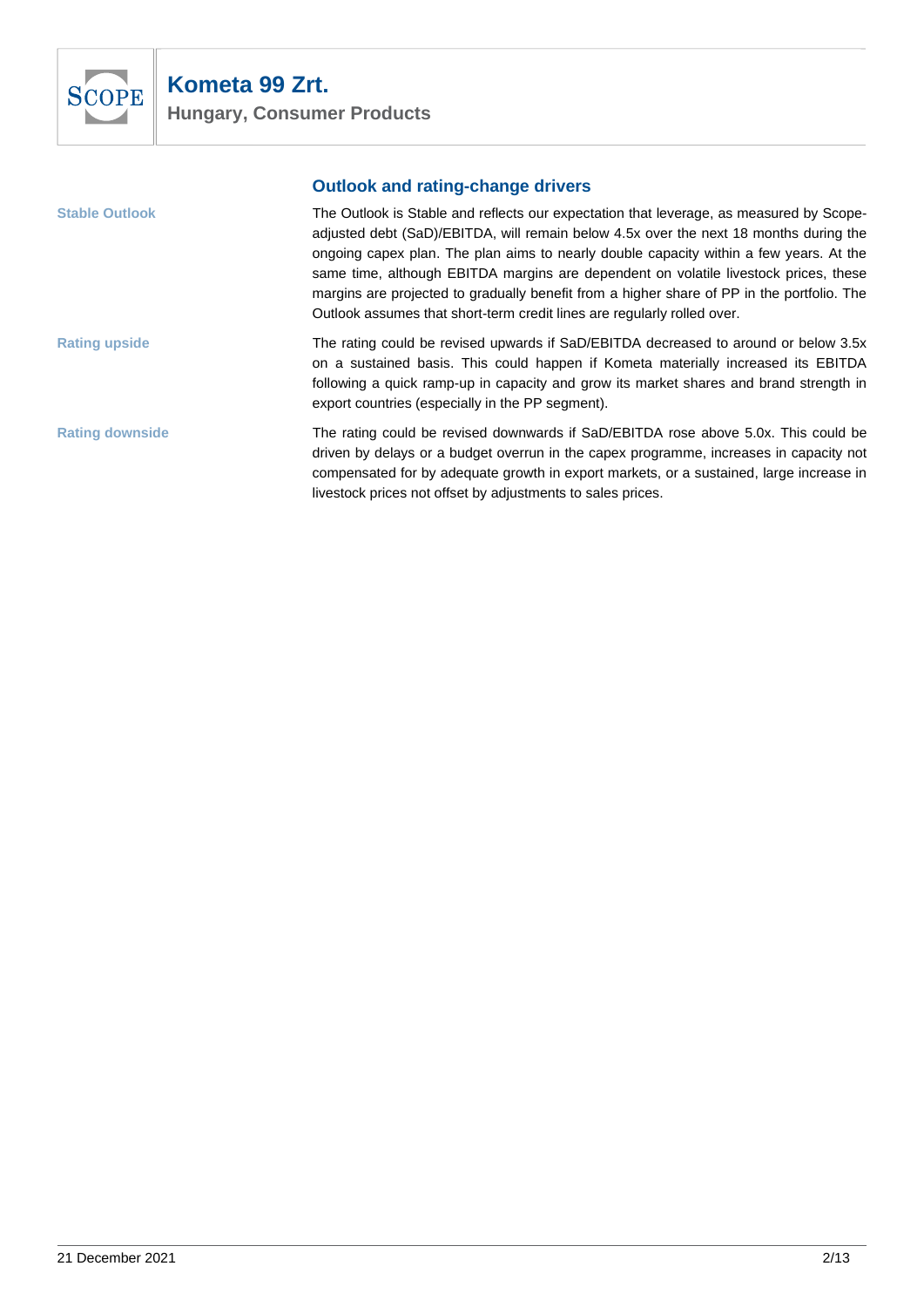

|                        | <b>Outlook and rating-change drivers</b>                                                                                                                                                                                                                                                                                                                                                                                                                                                                                                    |  |  |
|------------------------|---------------------------------------------------------------------------------------------------------------------------------------------------------------------------------------------------------------------------------------------------------------------------------------------------------------------------------------------------------------------------------------------------------------------------------------------------------------------------------------------------------------------------------------------|--|--|
| <b>Stable Outlook</b>  | The Outlook is Stable and reflects our expectation that leverage, as measured by Scope-<br>adjusted debt (SaD)/EBITDA, will remain below 4.5x over the next 18 months during the<br>ongoing capex plan. The plan aims to nearly double capacity within a few years. At the<br>same time, although EBITDA margins are dependent on volatile livestock prices, these<br>margins are projected to gradually benefit from a higher share of PP in the portfolio. The<br>Outlook assumes that short-term credit lines are regularly rolled over. |  |  |
| <b>Rating upside</b>   | The rating could be revised upwards if SaD/EBITDA decreased to around or below 3.5x<br>on a sustained basis. This could happen if Kometa materially increased its EBITDA<br>following a quick ramp-up in capacity and grow its market shares and brand strength in<br>export countries (especially in the PP segment).                                                                                                                                                                                                                      |  |  |
| <b>Rating downside</b> | The rating could be revised downwards if SaD/EBITDA rose above 5.0x. This could be<br>driven by delays or a budget overrun in the capex programme, increases in capacity not<br>compensated for by adequate growth in export markets, or a sustained, large increase in<br>livestock prices not offset by adjustments to sales prices.                                                                                                                                                                                                      |  |  |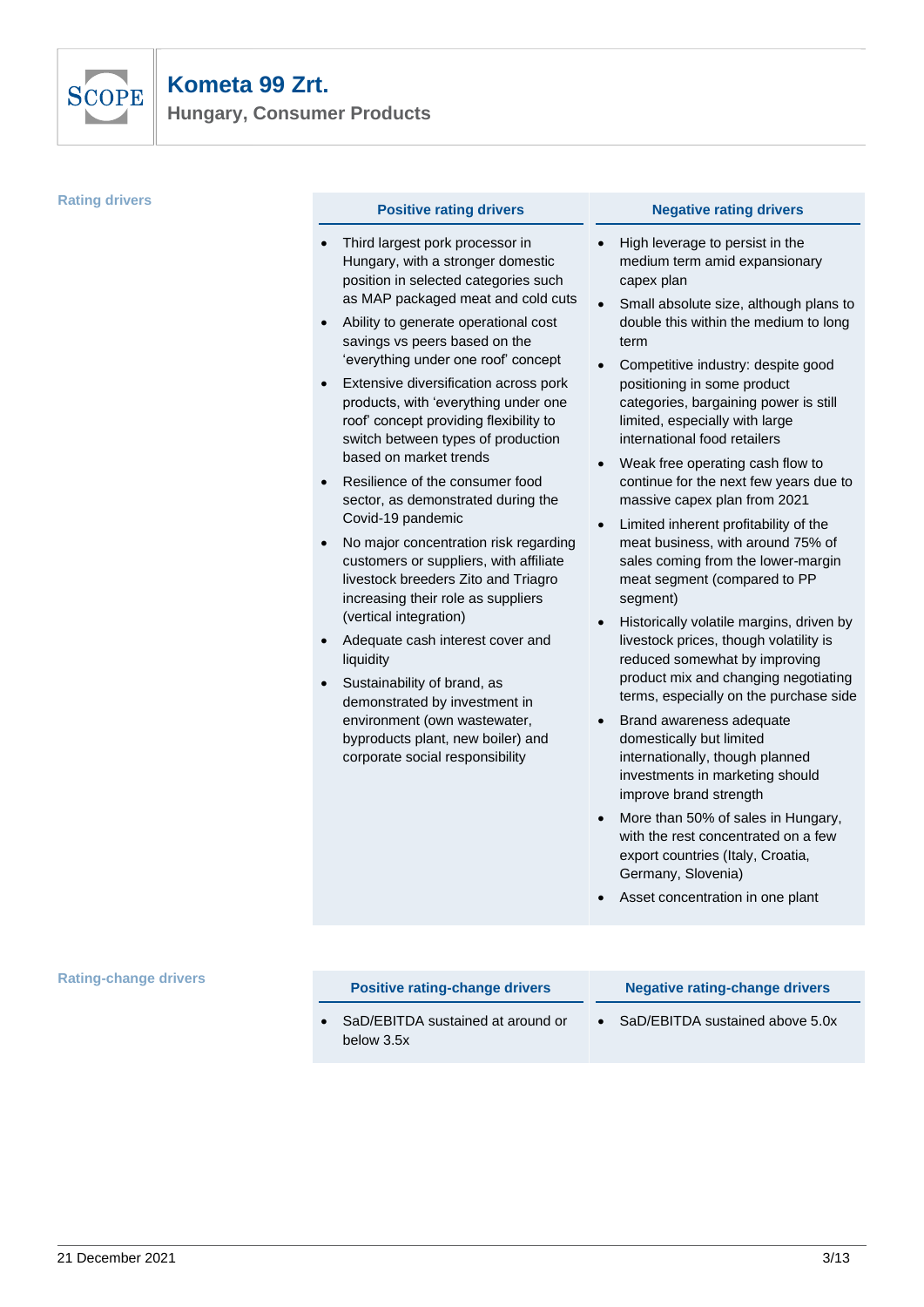

# **Kometa 99 Zrt. Hungary, Consumer Products**

# **Rating drivers Positive rating drivers Negative rating drivers**

- Third largest pork processor in Hungary, with a stronger domestic position in selected categories such as MAP packaged meat and cold cuts
- Ability to generate operational cost savings vs peers based on the 'everything under one roof' concept
- Extensive diversification across pork products, with 'everything under one roof' concept providing flexibility to switch between types of production based on market trends
- Resilience of the consumer food sector, as demonstrated during the Covid-19 pandemic
- No major concentration risk regarding customers or suppliers, with affiliate livestock breeders Zito and Triagro increasing their role as suppliers (vertical integration)
- Adequate cash interest cover and liquidity
- Sustainability of brand, as demonstrated by investment in environment (own wastewater, byproducts plant, new boiler) and corporate social responsibility

- High leverage to persist in the medium term amid expansionary capex plan
- Small absolute size, although plans to double this within the medium to long term
- Competitive industry: despite good positioning in some product categories, bargaining power is still limited, especially with large international food retailers
- Weak free operating cash flow to continue for the next few years due to massive capex plan from 2021
- Limited inherent profitability of the meat business, with around 75% of sales coming from the lower-margin meat segment (compared to PP segment)
- Historically volatile margins, driven by livestock prices, though volatility is reduced somewhat by improving product mix and changing negotiating terms, especially on the purchase side
- Brand awareness adequate domestically but limited internationally, though planned investments in marketing should improve brand strength
- More than 50% of sales in Hungary, with the rest concentrated on a few export countries (Italy, Croatia, Germany, Slovenia)
- Asset concentration in one plant

| <b>Positive rating-change drivers</b>           | Negative rating-change drivers      |  |  |
|-------------------------------------------------|-------------------------------------|--|--|
| SaD/EBITDA sustained at around or<br>below 3.5x | • SaD/EBITDA sustained above $5.0x$ |  |  |

### **Rating-change drivers**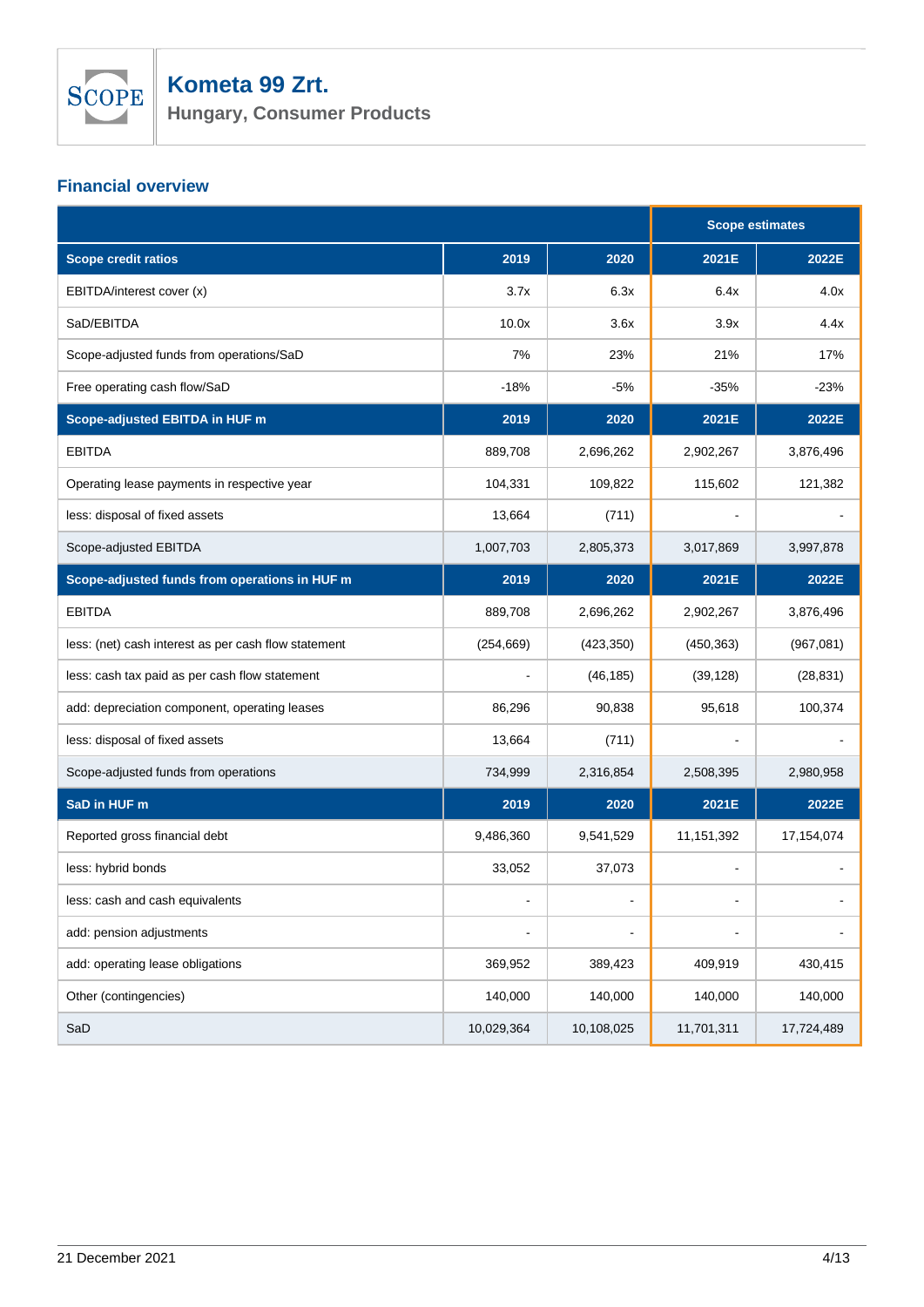

**Hungary, Consumer Products**

# **Financial overview**

|                                                      |            | <b>Scope estimates</b> |                |            |
|------------------------------------------------------|------------|------------------------|----------------|------------|
| <b>Scope credit ratios</b>                           | 2019       | 2020                   | 2021E          | 2022E      |
| EBITDA/interest cover (x)                            | 3.7x       | 6.3x                   | 6.4x           | 4.0x       |
| SaD/EBITDA                                           | 10.0x      | 3.6x                   | 3.9x           | 4.4x       |
| Scope-adjusted funds from operations/SaD             | 7%         | 23%                    | 21%            | 17%        |
| Free operating cash flow/SaD                         | $-18%$     | $-5%$                  | $-35%$         | $-23%$     |
| Scope-adjusted EBITDA in HUF m                       | 2019       | 2020                   | 2021E          | 2022E      |
| <b>EBITDA</b>                                        | 889,708    | 2,696,262              | 2,902,267      | 3,876,496  |
| Operating lease payments in respective year          | 104,331    | 109,822                | 115,602        | 121,382    |
| less: disposal of fixed assets                       | 13,664     | (711)                  |                |            |
| Scope-adjusted EBITDA                                | 1,007,703  | 2,805,373              | 3,017,869      | 3,997,878  |
| Scope-adjusted funds from operations in HUF m        | 2019       | 2020                   | 2021E          | 2022E      |
| <b>EBITDA</b>                                        | 889,708    | 2,696,262              | 2,902,267      | 3,876,496  |
| less: (net) cash interest as per cash flow statement | (254, 669) | (423, 350)             | (450, 363)     | (967,081)  |
| less: cash tax paid as per cash flow statement       |            | (46, 185)              | (39, 128)      | (28, 831)  |
| add: depreciation component, operating leases        | 86,296     | 90,838                 | 95,618         | 100,374    |
| less: disposal of fixed assets                       | 13,664     | (711)                  |                |            |
| Scope-adjusted funds from operations                 | 734,999    | 2,316,854              | 2,508,395      | 2,980,958  |
| SaD in HUF m                                         | 2019       | 2020                   | 2021E          | 2022E      |
| Reported gross financial debt                        | 9,486,360  | 9,541,529              | 11,151,392     | 17,154,074 |
| less: hybrid bonds                                   | 33,052     | 37,073                 | $\blacksquare$ |            |
| less: cash and cash equivalents                      |            |                        |                |            |
| add: pension adjustments                             |            | $\overline{a}$         |                |            |
| add: operating lease obligations                     | 369,952    | 389,423                | 409,919        | 430,415    |
| Other (contingencies)                                | 140,000    | 140,000                | 140,000        | 140,000    |
| SaD                                                  | 10,029,364 | 10,108,025             | 11,701,311     | 17,724,489 |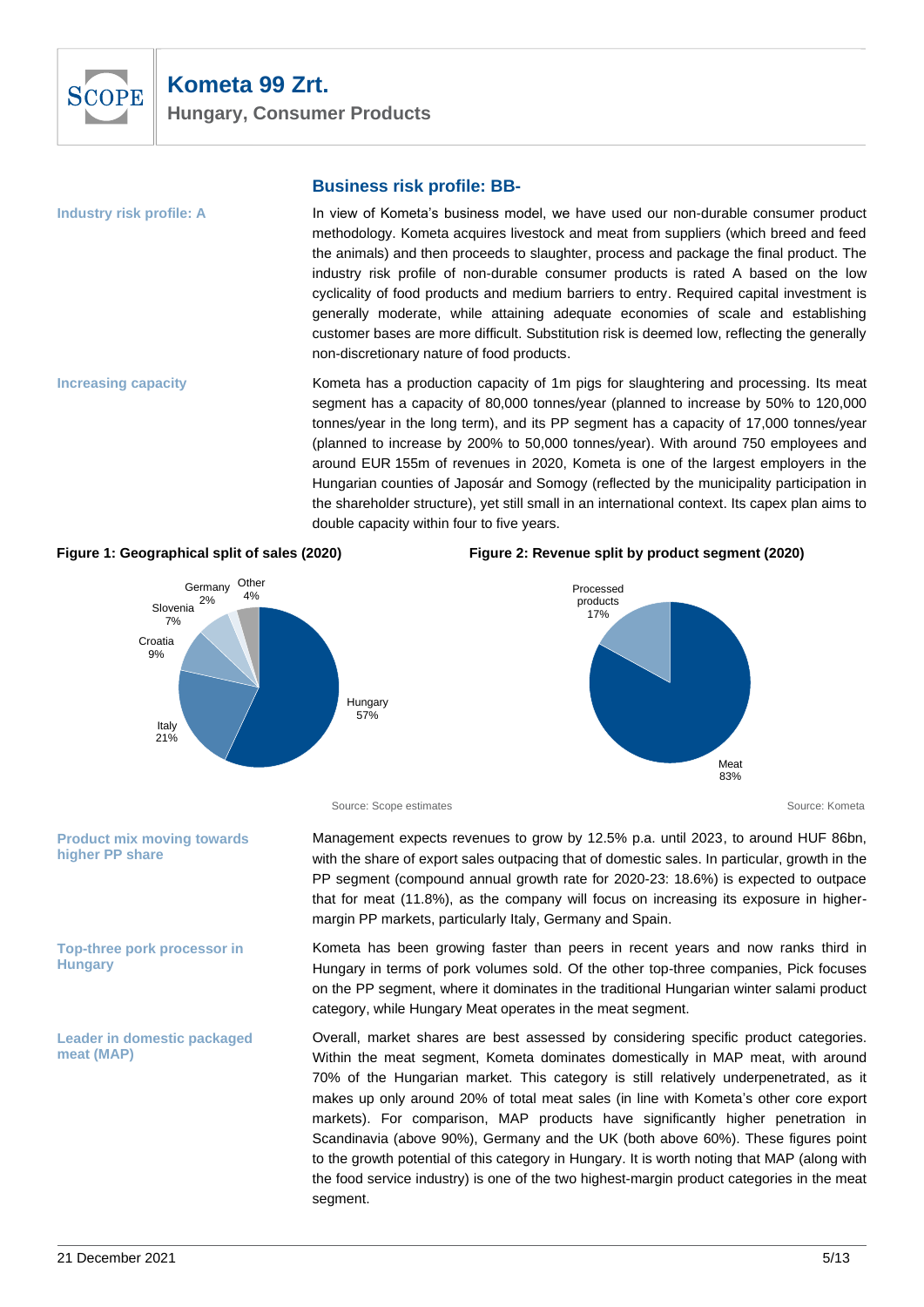

# **Business risk profile: BB-**

In view of Kometa's business model, we have used our non-durable consumer product methodology. Kometa acquires livestock and meat from suppliers (which breed and feed the animals) and then proceeds to slaughter, process and package the final product. The industry risk profile of non-durable consumer products is rated A based on the low cyclicality of food products and medium barriers to entry. Required capital investment is generally moderate, while attaining adequate economies of scale and establishing customer bases are more difficult. Substitution risk is deemed low, reflecting the generally non-discretionary nature of food products. Kometa has a production capacity of 1m pigs for slaughtering and processing. Its meat segment has a capacity of 80,000 tonnes/year (planned to increase by 50% to 120,000 tonnes/year in the long term), and its PP segment has a capacity of 17,000 tonnes/year (planned to increase by 200% to 50,000 tonnes/year). With around 750 employees and **Industry risk profile: A Increasing capacity**

around EUR 155m of revenues in 2020, Kometa is one of the largest employers in the Hungarian counties of Japosár and Somogy (reflected by the municipality participation in the shareholder structure), yet still small in an international context. Its capex plan aims to double capacity within four to five years.



### **Figure 1: Geographical split of sales (2020) Figure 2: Revenue split by product segment (2020)**



Source: Scope estimates **Source: Scope estimates** Source: Kometa

**Product mix moving towards higher PP share**

**Top-three pork processor in Hungary**

**Leader in domestic packaged meat (MAP)**

Management expects revenues to grow by 12.5% p.a. until 2023, to around HUF 86bn, with the share of export sales outpacing that of domestic sales. In particular, growth in the PP segment (compound annual growth rate for 2020-23: 18.6%) is expected to outpace that for meat (11.8%), as the company will focus on increasing its exposure in highermargin PP markets, particularly Italy, Germany and Spain.

Kometa has been growing faster than peers in recent years and now ranks third in Hungary in terms of pork volumes sold. Of the other top-three companies, Pick focuses on the PP segment, where it dominates in the traditional Hungarian winter salami product category, while Hungary Meat operates in the meat segment.

Overall, market shares are best assessed by considering specific product categories. Within the meat segment, Kometa dominates domestically in MAP meat, with around 70% of the Hungarian market. This category is still relatively underpenetrated, as it makes up only around 20% of total meat sales (in line with Kometa's other core export markets). For comparison, MAP products have significantly higher penetration in Scandinavia (above 90%), Germany and the UK (both above 60%). These figures point to the growth potential of this category in Hungary. It is worth noting that MAP (along with the food service industry) is one of the two highest-margin product categories in the meat segment.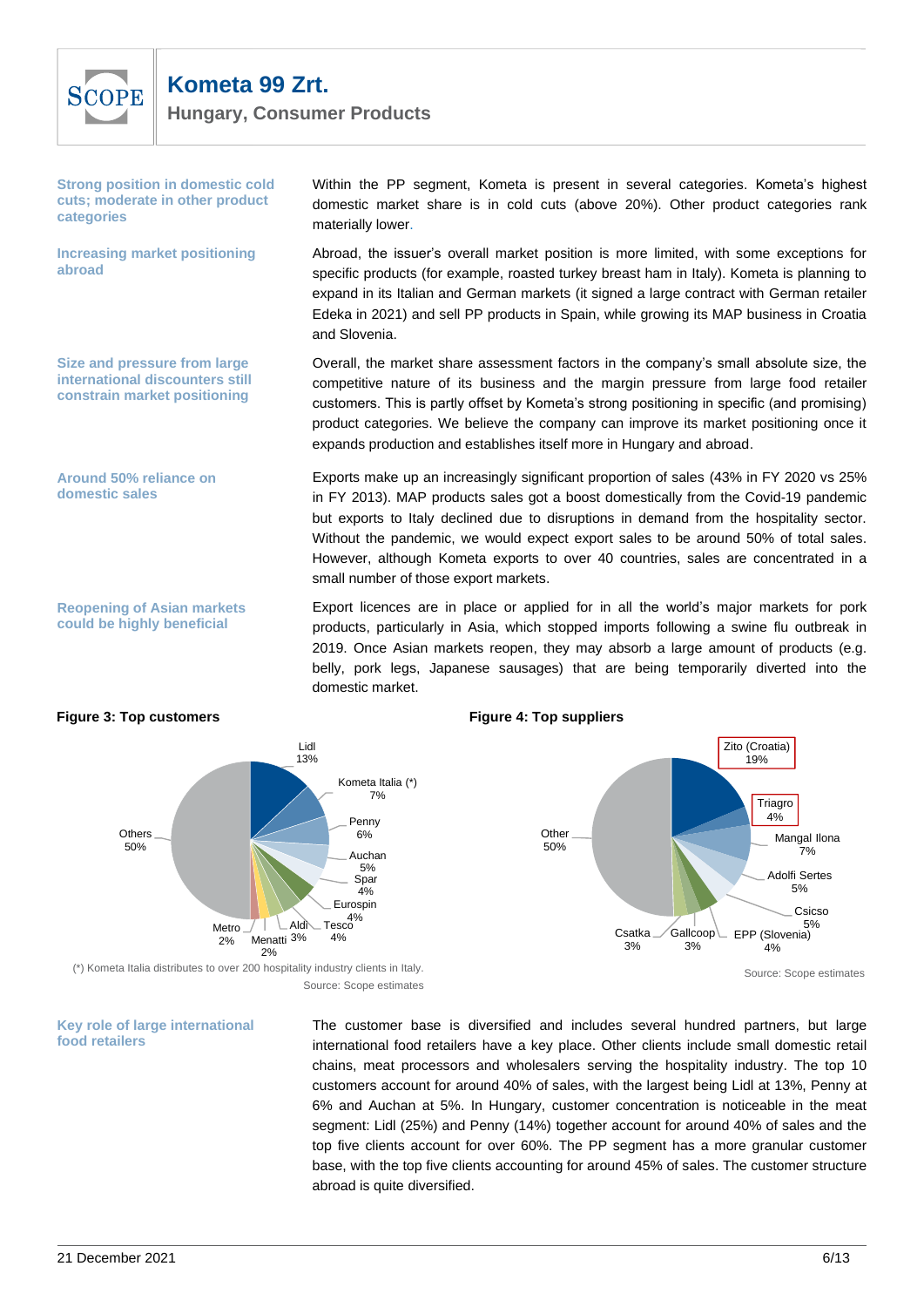

**Strong position in domestic cold cuts; moderate in other product categories**

**Increasing market positioning abroad**

**Size and pressure from large international discounters still constrain market positioning**

**Around 50% reliance on domestic sales**

**Reopening of Asian markets could be highly beneficial**

Within the PP segment, Kometa is present in several categories. Kometa's highest domestic market share is in cold cuts (above 20%). Other product categories rank materially lower.

Abroad, the issuer's overall market position is more limited, with some exceptions for specific products (for example, roasted turkey breast ham in Italy). Kometa is planning to expand in its Italian and German markets (it signed a large contract with German retailer Edeka in 2021) and sell PP products in Spain, while growing its MAP business in Croatia and Slovenia.

Overall, the market share assessment factors in the company's small absolute size, the competitive nature of its business and the margin pressure from large food retailer customers. This is partly offset by Kometa's strong positioning in specific (and promising) product categories. We believe the company can improve its market positioning once it expands production and establishes itself more in Hungary and abroad.

Exports make up an increasingly significant proportion of sales (43% in FY 2020 vs 25% in FY 2013). MAP products sales got a boost domestically from the Covid-19 pandemic but exports to Italy declined due to disruptions in demand from the hospitality sector. Without the pandemic, we would expect export sales to be around 50% of total sales. However, although Kometa exports to over 40 countries, sales are concentrated in a small number of those export markets.

Export licences are in place or applied for in all the world's major markets for pork products, particularly in Asia, which stopped imports following a swine flu outbreak in 2019. Once Asian markets reopen, they may absorb a large amount of products (e.g. belly, pork legs, Japanese sausages) that are being temporarily diverted into the domestic market.



## **Figure 3: Top customers Figure 4: Top suppliers**



(\*) Kometa Italia distributes to over 200 hospitality industry clients in Italy. Source: Scope estimates

**Key role of large international food retailers** 

The customer base is diversified and includes several hundred partners, but large international food retailers have a key place. Other clients include small domestic retail chains, meat processors and wholesalers serving the hospitality industry. The top 10 customers account for around 40% of sales, with the largest being Lidl at 13%, Penny at 6% and Auchan at 5%. In Hungary, customer concentration is noticeable in the meat segment: Lidl (25%) and Penny (14%) together account for around 40% of sales and the top five clients account for over 60%. The PP segment has a more granular customer base, with the top five clients accounting for around 45% of sales. The customer structure abroad is quite diversified.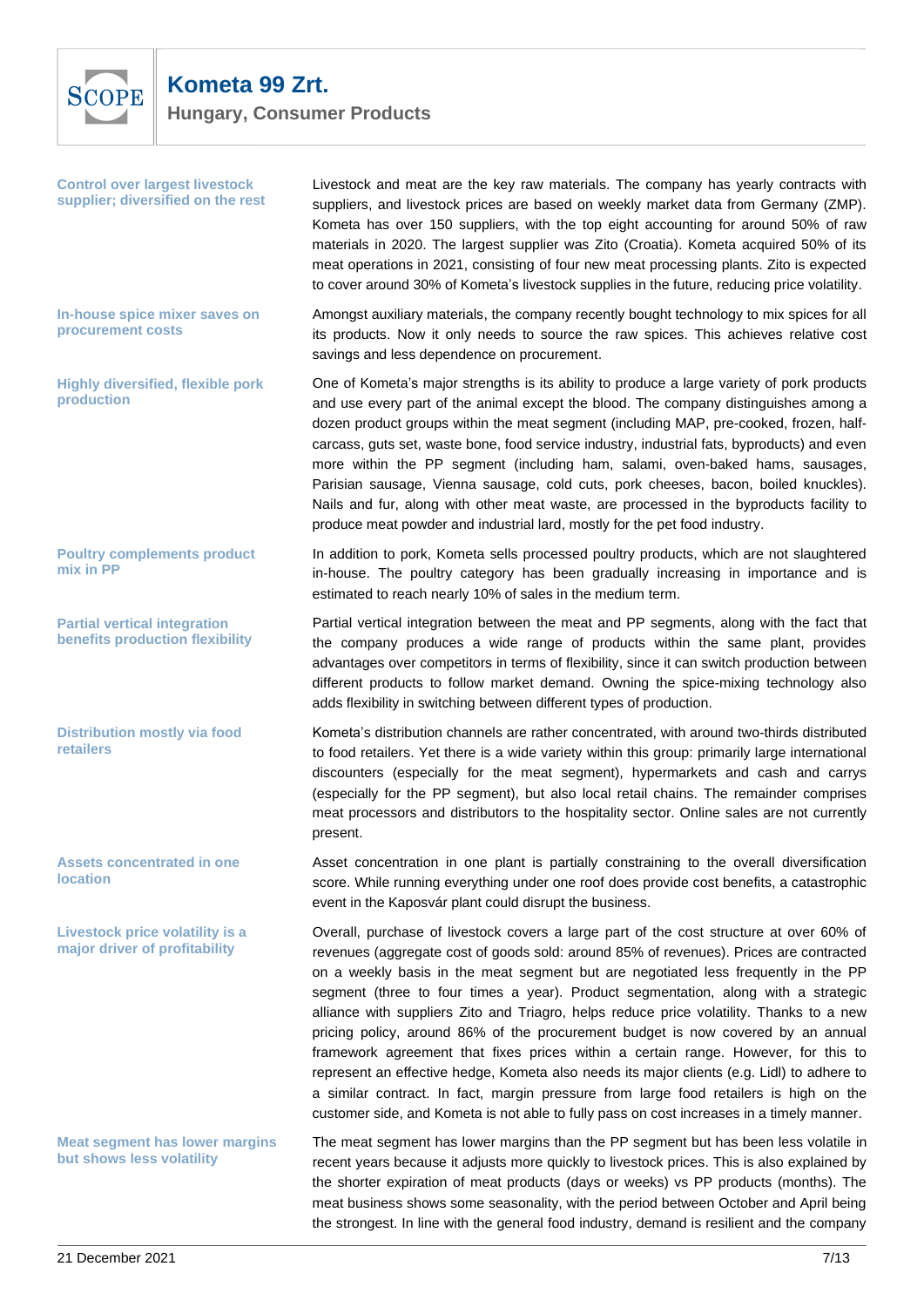

**Control over largest livestock supplier; diversified on the rest**

**In-house spice mixer saves on procurement costs**

**Highly diversified, flexible pork production**

**Poultry complements product mix in PP**

**Partial vertical integration benefits production flexibility**

**Distribution mostly via food retailers**

**Assets concentrated in one location**

**Livestock price volatility is a major driver of profitability**

**Meat segment has lower margins but shows less volatility**

Livestock and meat are the key raw materials. The company has yearly contracts with suppliers, and livestock prices are based on weekly market data from Germany (ZMP). Kometa has over 150 suppliers, with the top eight accounting for around 50% of raw materials in 2020. The largest supplier was Zito (Croatia). Kometa acquired 50% of its meat operations in 2021, consisting of four new meat processing plants. Zito is expected to cover around 30% of Kometa's livestock supplies in the future, reducing price volatility.

Amongst auxiliary materials, the company recently bought technology to mix spices for all its products. Now it only needs to source the raw spices. This achieves relative cost savings and less dependence on procurement.

One of Kometa's major strengths is its ability to produce a large variety of pork products and use every part of the animal except the blood. The company distinguishes among a dozen product groups within the meat segment (including MAP, pre-cooked, frozen, halfcarcass, guts set, waste bone, food service industry, industrial fats, byproducts) and even more within the PP segment (including ham, salami, oven-baked hams, sausages, Parisian sausage, Vienna sausage, cold cuts, pork cheeses, bacon, boiled knuckles). Nails and fur, along with other meat waste, are processed in the byproducts facility to produce meat powder and industrial lard, mostly for the pet food industry.

In addition to pork, Kometa sells processed poultry products, which are not slaughtered in-house. The poultry category has been gradually increasing in importance and is estimated to reach nearly 10% of sales in the medium term.

Partial vertical integration between the meat and PP segments, along with the fact that the company produces a wide range of products within the same plant, provides advantages over competitors in terms of flexibility, since it can switch production between different products to follow market demand. Owning the spice-mixing technology also adds flexibility in switching between different types of production.

Kometa's distribution channels are rather concentrated, with around two-thirds distributed to food retailers. Yet there is a wide variety within this group: primarily large international discounters (especially for the meat segment), hypermarkets and cash and carrys (especially for the PP segment), but also local retail chains. The remainder comprises meat processors and distributors to the hospitality sector. Online sales are not currently present.

Asset concentration in one plant is partially constraining to the overall diversification score. While running everything under one roof does provide cost benefits, a catastrophic event in the Kaposvár plant could disrupt the business.

Overall, purchase of livestock covers a large part of the cost structure at over 60% of revenues (aggregate cost of goods sold: around 85% of revenues). Prices are contracted on a weekly basis in the meat segment but are negotiated less frequently in the PP segment (three to four times a year). Product segmentation, along with a strategic alliance with suppliers Zito and Triagro, helps reduce price volatility. Thanks to a new pricing policy, around 86% of the procurement budget is now covered by an annual framework agreement that fixes prices within a certain range. However, for this to represent an effective hedge, Kometa also needs its major clients (e.g. Lidl) to adhere to a similar contract. In fact, margin pressure from large food retailers is high on the customer side, and Kometa is not able to fully pass on cost increases in a timely manner.

The meat segment has lower margins than the PP segment but has been less volatile in recent years because it adjusts more quickly to livestock prices. This is also explained by the shorter expiration of meat products (days or weeks) vs PP products (months). The meat business shows some seasonality, with the period between October and April being the strongest. In line with the general food industry, demand is resilient and the company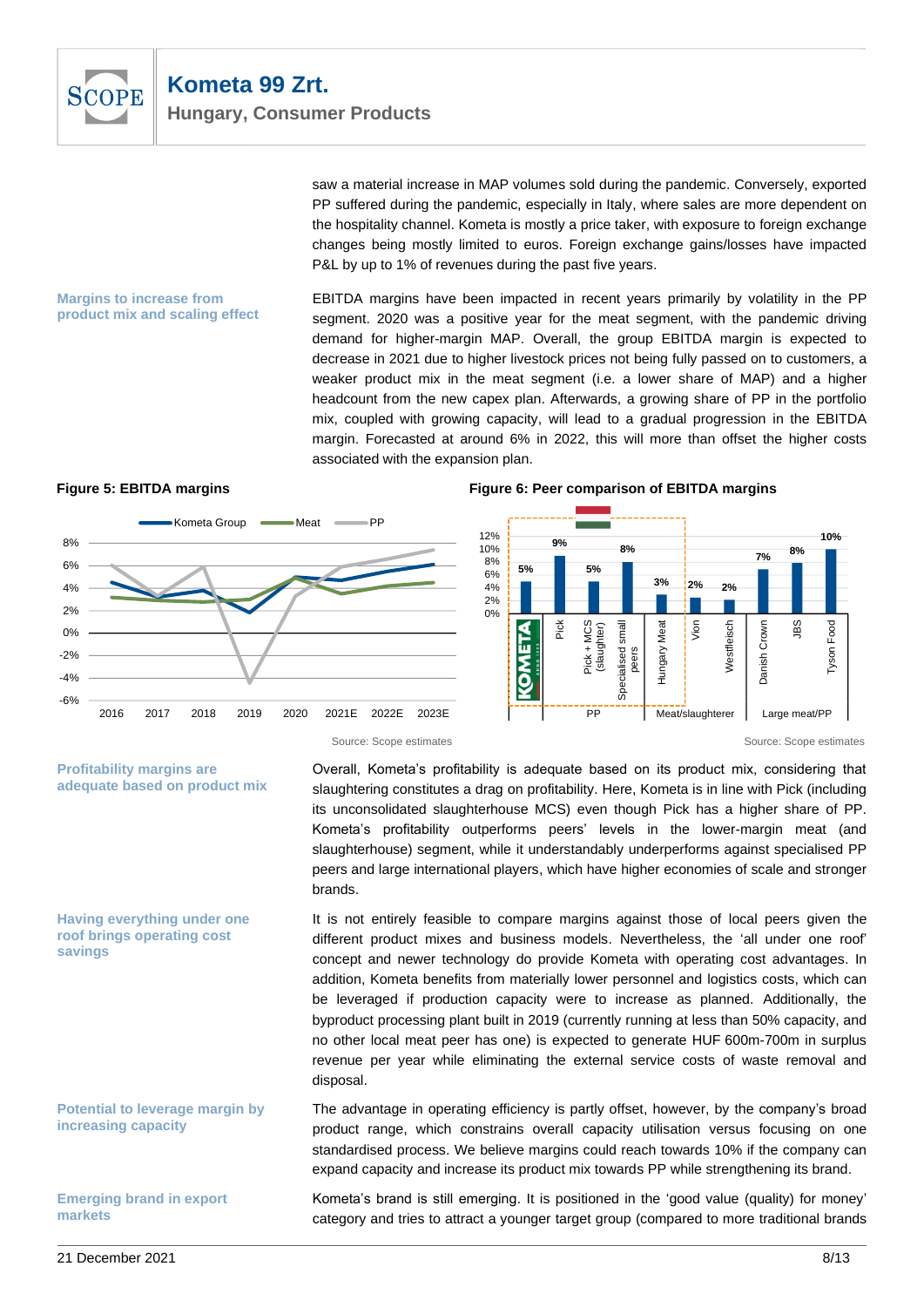

saw a material increase in MAP volumes sold during the pandemic. Conversely, exported PP suffered during the pandemic, especially in Italy, where sales are more dependent on the hospitality channel. Kometa is mostly a price taker, with exposure to foreign exchange changes being mostly limited to euros. Foreign exchange gains/losses have impacted P&L by up to 1% of revenues during the past five years.

### **Margins to increase from product mix and scaling effect**

EBITDA margins have been impacted in recent years primarily by volatility in the PP segment. 2020 was a positive year for the meat segment, with the pandemic driving demand for higher-margin MAP. Overall, the group EBITDA margin is expected to decrease in 2021 due to higher livestock prices not being fully passed on to customers, a weaker product mix in the meat segment (i.e. a lower share of MAP) and a higher headcount from the new capex plan. Afterwards, a growing share of PP in the portfolio mix, coupled with growing capacity, will lead to a gradual progression in the EBITDA margin. Forecasted at around 6% in 2022, this will more than offset the higher costs associated with the expansion plan.

### **Figure 5: EBITDA margins Figure 6: Peer comparison of EBITDA margins**



#### **Profitability margins are adequate based on product mix**

#### **Having everything under one roof brings operating cost savings**

#### **Potential to leverage margin by increasing capacity**

**Emerging brand in export markets**

Overall, Kometa's profitability is adequate based on its product mix, considering that slaughtering constitutes a drag on profitability. Here, Kometa is in line with Pick (including its unconsolidated slaughterhouse MCS) even though Pick has a higher share of PP. Kometa's profitability outperforms peers' levels in the lower-margin meat (and slaughterhouse) segment, while it understandably underperforms against specialised PP peers and large international players, which have higher economies of scale and stronger brands.

It is not entirely feasible to compare margins against those of local peers given the different product mixes and business models. Nevertheless, the 'all under one roof' concept and newer technology do provide Kometa with operating cost advantages. In addition, Kometa benefits from materially lower personnel and logistics costs, which can be leveraged if production capacity were to increase as planned. Additionally, the byproduct processing plant built in 2019 (currently running at less than 50% capacity, and no other local meat peer has one) is expected to generate HUF 600m-700m in surplus revenue per year while eliminating the external service costs of waste removal and disposal.

The advantage in operating efficiency is partly offset, however, by the company's broad product range, which constrains overall capacity utilisation versus focusing on one standardised process. We believe margins could reach towards 10% if the company can expand capacity and increase its product mix towards PP while strengthening its brand.

Kometa's brand is still emerging. It is positioned in the 'good value (quality) for money' category and tries to attract a younger target group (compared to more traditional brands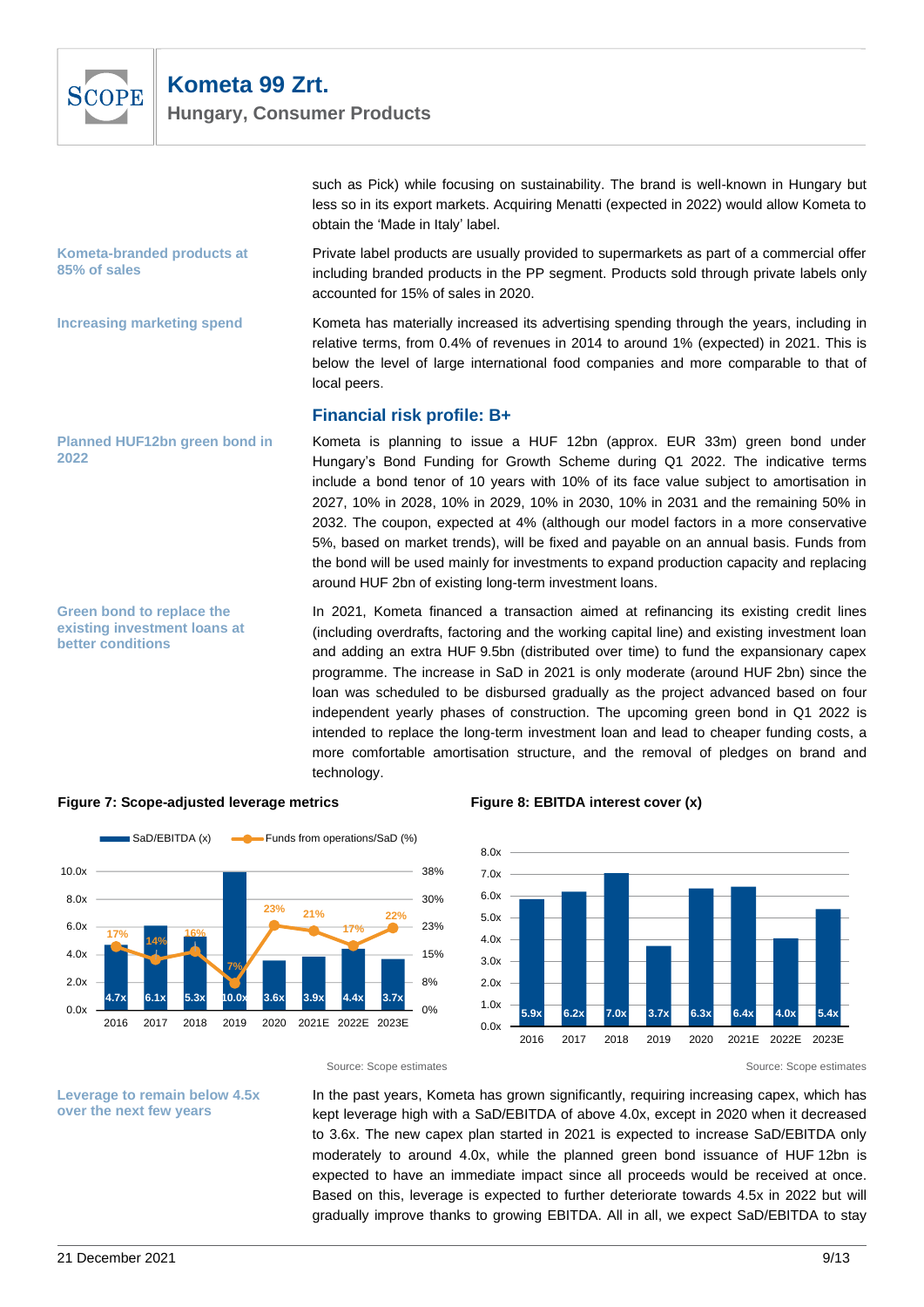

|                                              | such as Pick) while focusing on sustainability. The brand is well-known in Hungary but<br>less so in its export markets. Acquiring Menatti (expected in 2022) would allow Kometa to<br>obtain the 'Made in Italy' label.                                                                                                                  |
|----------------------------------------------|-------------------------------------------------------------------------------------------------------------------------------------------------------------------------------------------------------------------------------------------------------------------------------------------------------------------------------------------|
| Kometa-branded products at<br>85% of sales   | Private label products are usually provided to supermarkets as part of a commercial offer<br>including branded products in the PP segment. Products sold through private labels only<br>accounted for 15% of sales in 2020.                                                                                                               |
| Increasing marketing spend                   | Kometa has materially increased its advertising spending through the years, including in<br>relative terms, from 0.4% of revenues in 2014 to around 1% (expected) in 2021. This is<br>below the level of large international food companies and more comparable to that of<br>local peers.                                                |
|                                              | <b>Financial risk profile: B+</b>                                                                                                                                                                                                                                                                                                         |
| <b>Planned HUF12bn green bond in</b><br>2022 | Kometa is planning to issue a HUF 12bn (approx. EUR 33m) green bond under<br>Hungary's Bond Funding for Growth Scheme during Q1 2022. The indicative terms<br>include a bond tenor of 10 years with 10% of its face value subject to amortisation in<br>2027, 10% in 2028, 10% in 2029, 10% in 2030, 10% in 2031 and the remaining 50% in |

around HUF 2bn of existing long-term investment loans.

**Green bond to replace the existing investment loans at better conditions**

In 2021, Kometa financed a transaction aimed at refinancing its existing credit lines (including overdrafts, factoring and the working capital line) and existing investment loan and adding an extra HUF 9.5bn (distributed over time) to fund the expansionary capex programme. The increase in SaD in 2021 is only moderate (around HUF 2bn) since the loan was scheduled to be disbursed gradually as the project advanced based on four independent yearly phases of construction. The upcoming green bond in Q1 2022 is intended to replace the long-term investment loan and lead to cheaper funding costs, a more comfortable amortisation structure, and the removal of pledges on brand and technology.

2032. The coupon, expected at 4% (although our model factors in a more conservative 5%, based on market trends), will be fixed and payable on an annual basis. Funds from the bond will be used mainly for investments to expand production capacity and replacing



**Figure 7: Scope-adjusted leverage metrics Figure 8: EBITDA interest cover (x)**





#### Source: Scope estimates Source: Scope estimates Source: Scope estimates Source: Scope estimates

In the past years, Kometa has grown significantly, requiring increasing capex, which has kept leverage high with a SaD/EBITDA of above 4.0x, except in 2020 when it decreased to 3.6x. The new capex plan started in 2021 is expected to increase SaD/EBITDA only moderately to around 4.0x, while the planned green bond issuance of HUF 12bn is expected to have an immediate impact since all proceeds would be received at once. Based on this, leverage is expected to further deteriorate towards 4.5x in 2022 but will gradually improve thanks to growing EBITDA. All in all, we expect SaD/EBITDA to stay

**Leverage to remain below 4.5x over the next few years**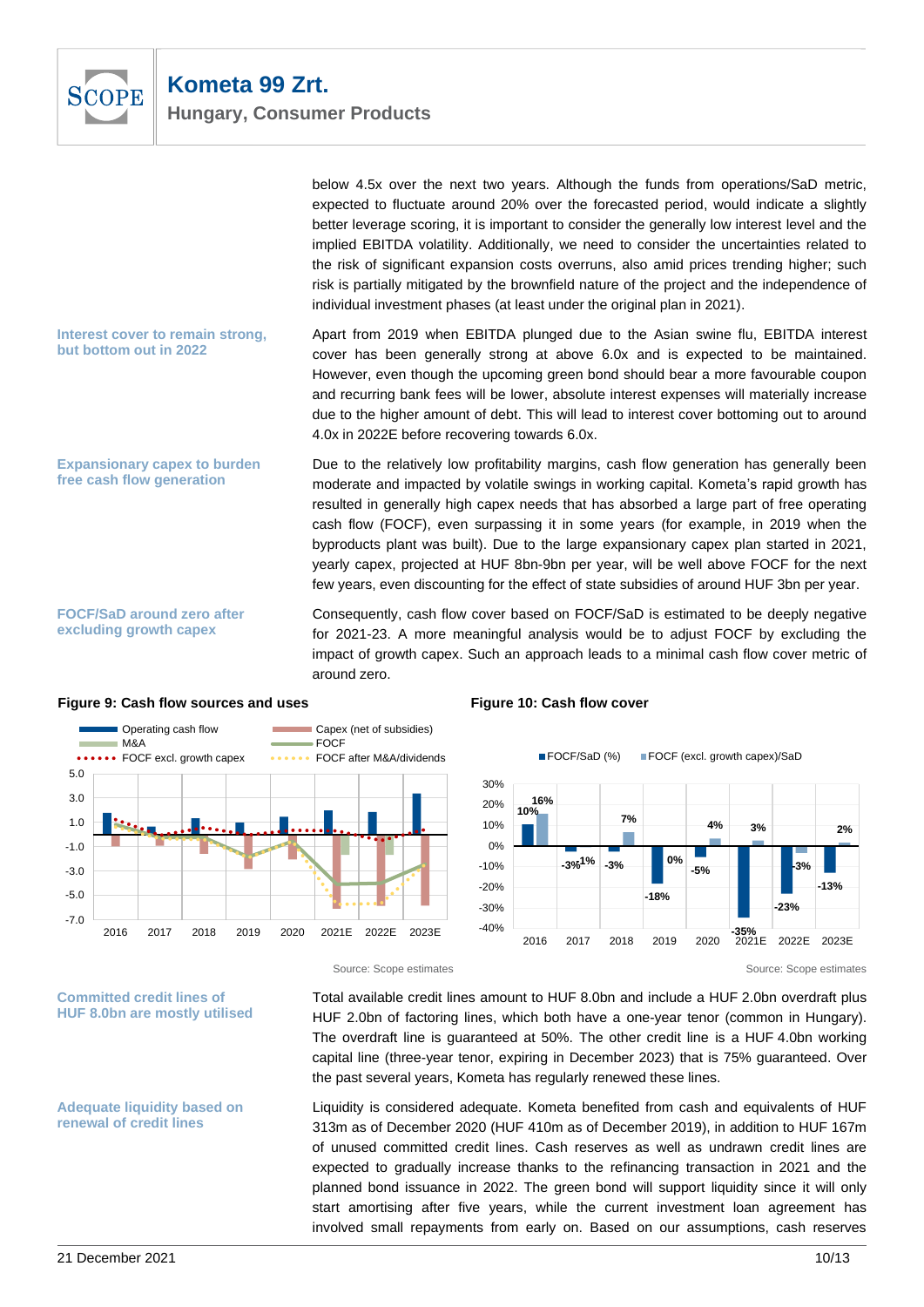

below 4.5x over the next two years. Although the funds from operations/SaD metric, expected to fluctuate around 20% over the forecasted period, would indicate a slightly better leverage scoring, it is important to consider the generally low interest level and the implied EBITDA volatility. Additionally, we need to consider the uncertainties related to the risk of significant expansion costs overruns, also amid prices trending higher; such risk is partially mitigated by the brownfield nature of the project and the independence of individual investment phases (at least under the original plan in 2021).

**Interest cover to remain strong, but bottom out in 2022**

**Expansionary capex to burden free cash flow generation**

**FOCF/SaD around zero after excluding growth capex**

Apart from 2019 when EBITDA plunged due to the Asian swine flu, EBITDA interest cover has been generally strong at above 6.0x and is expected to be maintained. However, even though the upcoming green bond should bear a more favourable coupon and recurring bank fees will be lower, absolute interest expenses will materially increase due to the higher amount of debt. This will lead to interest cover bottoming out to around 4.0x in 2022E before recovering towards 6.0x.

Due to the relatively low profitability margins, cash flow generation has generally been moderate and impacted by volatile swings in working capital. Kometa's rapid growth has resulted in generally high capex needs that has absorbed a large part of free operating cash flow (FOCF), even surpassing it in some years (for example, in 2019 when the byproducts plant was built). Due to the large expansionary capex plan started in 2021, yearly capex, projected at HUF 8bn-9bn per year, will be well above FOCF for the next few years, even discounting for the effect of state subsidies of around HUF 3bn per year.

Consequently, cash flow cover based on FOCF/SaD is estimated to be deeply negative for 2021-23. A more meaningful analysis would be to adjust FOCF by excluding the impact of growth capex. Such an approach leads to a minimal cash flow cover metric of around zero.



### **Figure 9: Cash flow sources and uses Figure 10: Cash flow cover**



Source: Scope estimates Source: Scope estimates Source: Scope estimates Source: Scope estimates

**Committed credit lines of HUF 8.0bn are mostly utilised**

**Adequate liquidity based on renewal of credit lines**

Total available credit lines amount to HUF 8.0bn and include a HUF 2.0bn overdraft plus HUF 2.0bn of factoring lines, which both have a one-year tenor (common in Hungary). The overdraft line is guaranteed at 50%. The other credit line is a HUF 4.0bn working capital line (three-year tenor, expiring in December 2023) that is 75% guaranteed. Over the past several years, Kometa has regularly renewed these lines.

Liquidity is considered adequate. Kometa benefited from cash and equivalents of HUF 313m as of December 2020 (HUF 410m as of December 2019), in addition to HUF 167m of unused committed credit lines. Cash reserves as well as undrawn credit lines are expected to gradually increase thanks to the refinancing transaction in 2021 and the planned bond issuance in 2022. The green bond will support liquidity since it will only start amortising after five years, while the current investment loan agreement has involved small repayments from early on. Based on our assumptions, cash reserves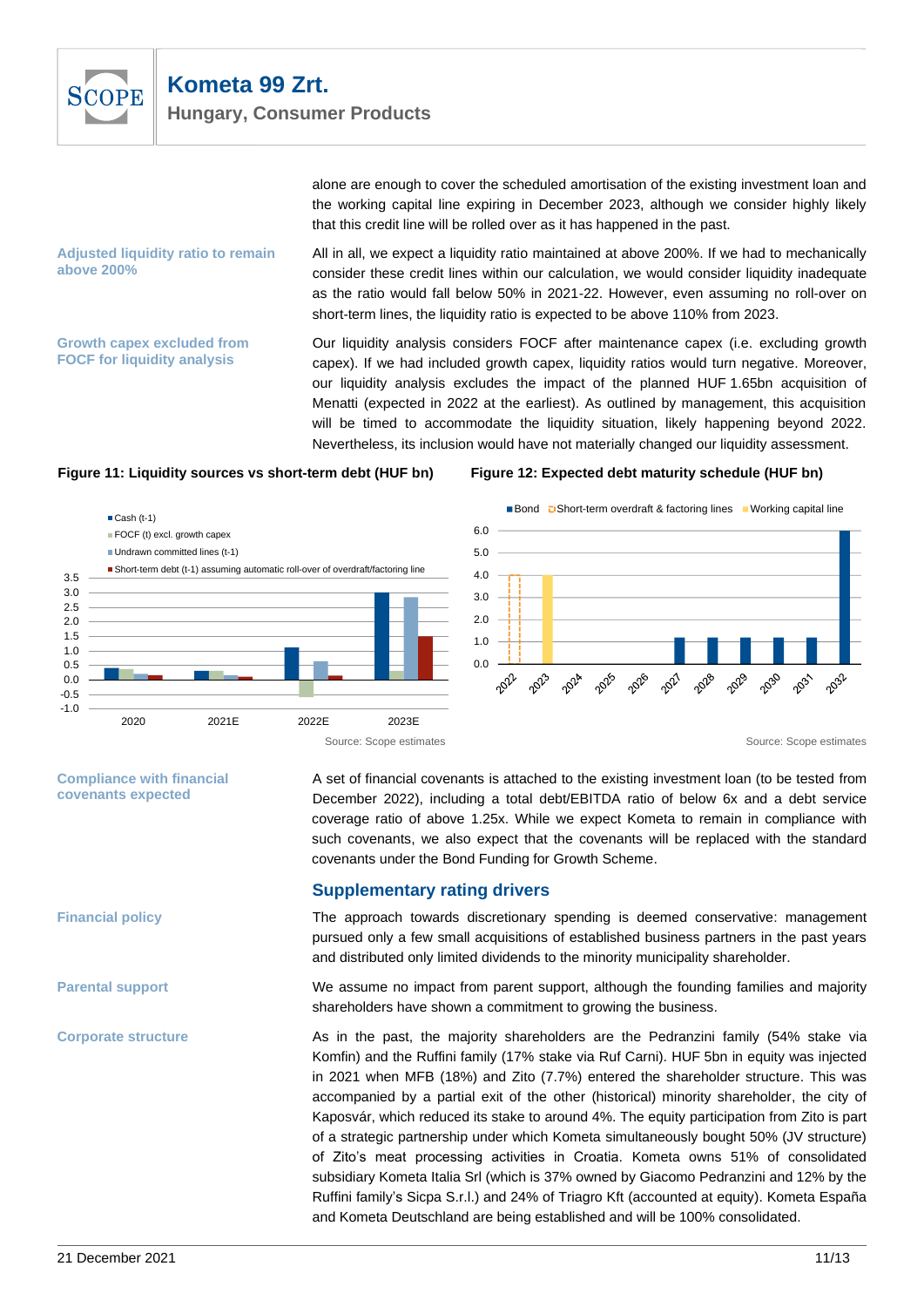

alone are enough to cover the scheduled amortisation of the existing investment loan and the working capital line expiring in December 2023, although we consider highly likely that this credit line will be rolled over as it has happened in the past.

All in all, we expect a liquidity ratio maintained at above 200%. If we had to mechanically consider these credit lines within our calculation, we would consider liquidity inadequate as the ratio would fall below 50% in 2021-22. However, even assuming no roll-over on **Adjusted liquidity ratio to remain above 200%**

**Growth capex excluded from FOCF for liquidity analysis**

short-term lines, the liquidity ratio is expected to be above 110% from 2023. Our liquidity analysis considers FOCF after maintenance capex (i.e. excluding growth capex). If we had included growth capex, liquidity ratios would turn negative. Moreover, our liquidity analysis excludes the impact of the planned HUF 1.65bn acquisition of

Menatti (expected in 2022 at the earliest). As outlined by management, this acquisition will be timed to accommodate the liquidity situation, likely happening beyond 2022. Nevertheless, its inclusion would have not materially changed our liquidity assessment.

### **Figure 11: Liquidity sources vs short-term debt (HUF bn) Figure 12: Expected debt maturity schedule (HUF bn)**





**Compliance with financial covenants expected**

**Financial policy**

A set of financial covenants is attached to the existing investment loan (to be tested from December 2022), including a total debt/EBITDA ratio of below 6x and a debt service coverage ratio of above 1.25x. While we expect Kometa to remain in compliance with such covenants, we also expect that the covenants will be replaced with the standard covenants under the Bond Funding for Growth Scheme.

# **Supplementary rating drivers**

The approach towards discretionary spending is deemed conservative: management pursued only a few small acquisitions of established business partners in the past years and distributed only limited dividends to the minority municipality shareholder.

We assume no impact from parent support, although the founding families and majority shareholders have shown a commitment to growing the business. **Parental support**

As in the past, the majority shareholders are the Pedranzini family (54% stake via Komfin) and the Ruffini family (17% stake via Ruf Carni). HUF 5bn in equity was injected in 2021 when MFB (18%) and Zito (7.7%) entered the shareholder structure. This was accompanied by a partial exit of the other (historical) minority shareholder, the city of Kaposvár, which reduced its stake to around 4%. The equity participation from Zito is part of a strategic partnership under which Kometa simultaneously bought 50% (JV structure) of Zito's meat processing activities in Croatia. Kometa owns 51% of consolidated subsidiary Kometa Italia Srl (which is 37% owned by Giacomo Pedranzini and 12% by the Ruffini family's Sicpa S.r.l.) and 24% of Triagro Kft (accounted at equity). Kometa España and Kometa Deutschland are being established and will be 100% consolidated. **Corporate structure**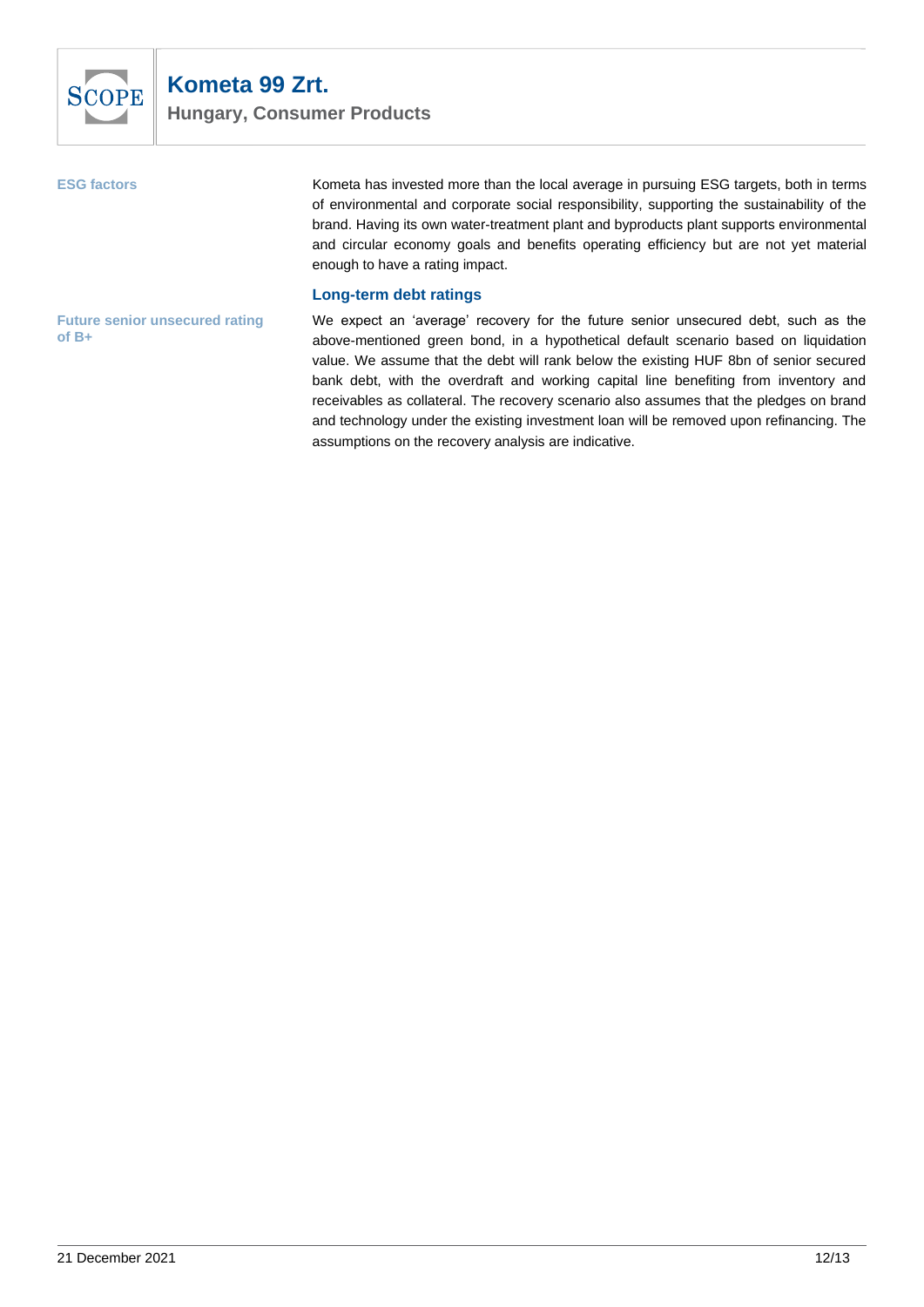

### **ESG factors**

Kometa has invested more than the local average in pursuing ESG targets, both in terms of environmental and corporate social responsibility, supporting the sustainability of the brand. Having its own water-treatment plant and byproducts plant supports environmental and circular economy goals and benefits operating efficiency but are not yet material enough to have a rating impact.

## **Long-term debt ratings**

**Future senior unsecured rating of B+**

We expect an 'average' recovery for the future senior unsecured debt, such as the above-mentioned green bond, in a hypothetical default scenario based on liquidation value. We assume that the debt will rank below the existing HUF 8bn of senior secured bank debt, with the overdraft and working capital line benefiting from inventory and receivables as collateral. The recovery scenario also assumes that the pledges on brand and technology under the existing investment loan will be removed upon refinancing. The assumptions on the recovery analysis are indicative.